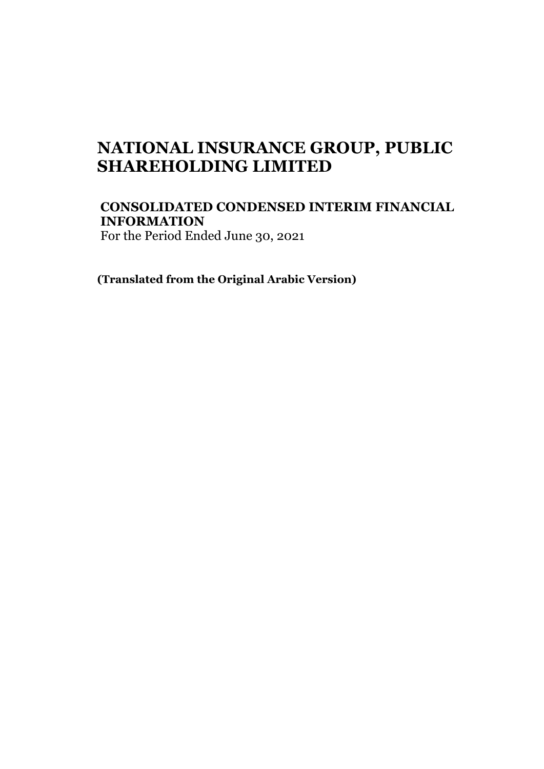# **NATIONAL INSURANCE GROUP, PUBLIC SHAREHOLDING LIMITED**

**CONSOLIDATED CONDENSED INTERIM FINANCIAL INFORMATION** For the Period Ended June 30, 2021

**(Translated from the Original Arabic Version)**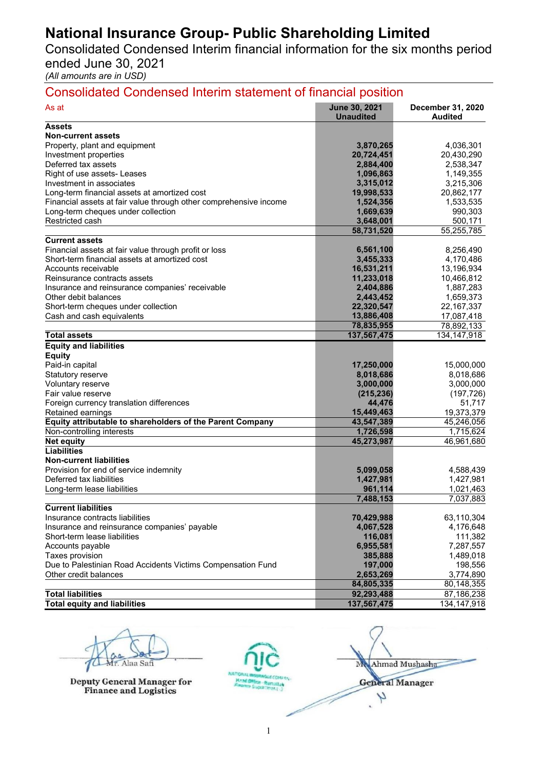Consolidated Condensed Interim financial information for the six months period ended June 30, 2021

*(All amounts are in USD)* 

| <b>June 30, 2021</b><br>As at<br>December 31, 2020<br><b>Unaudited</b><br><b>Audited</b><br><b>Assets</b><br><b>Non-current assets</b><br>Property, plant and equipment<br>3,870,265<br>4,036,301<br>20,724,451<br>20,430,290<br>Investment properties<br>Deferred tax assets<br>2,884,400<br>2,538,347<br>Right of use assets- Leases<br>1,096,863<br>1,149,355<br>3,215,306<br>Investment in associates<br>3,315,012<br>Long-term financial assets at amortized cost<br>19,998,533<br>20,862,177<br>Financial assets at fair value through other comprehensive income<br>1,524,356<br>1,533,535<br>1,669,639<br>Long-term cheques under collection<br>990,303<br>Restricted cash<br>500,171<br>3,648,001<br>55,255,785<br>58,731,520<br><b>Current assets</b><br>Financial assets at fair value through profit or loss<br>6,561,100<br>8,256,490<br>Short-term financial assets at amortized cost<br>4,170,486<br>3,455,333<br>16,531,211<br>Accounts receivable<br>13,196,934<br>11,233,018<br>10,466,812<br>Reinsurance contracts assets<br>1,887,283<br>Insurance and reinsurance companies' receivable<br>2,404,886<br>1,659,373<br>Other debit balances<br>2,443,452<br>Short-term cheques under collection<br>22, 167, 337<br>22,320,547<br>Cash and cash equivalents<br>13,886,408<br>17,087,418<br>78,892,133<br>78,835,955<br><b>Total assets</b><br>137,567,475<br>134, 147, 918<br><b>Equity and liabilities</b><br><b>Equity</b><br>Paid-in capital<br>17,250,000<br>15,000,000<br>8,018,686<br>Statutory reserve<br>8,018,686<br>Voluntary reserve<br>3,000,000<br>3,000,000<br>(215, 236)<br>Fair value reserve<br>(197, 726)<br>Foreign currency translation differences<br>44,476<br>51,717<br>19,373,379<br>Retained earnings<br>15,449,463<br>Equity attributable to shareholders of the Parent Company<br>43,547,389<br>45,246,056<br>Non-controlling interests<br>1,715,624<br>1,726,598<br>45,273,987<br>46,961,680<br><b>Net equity</b><br><b>Liabilities</b><br><b>Non-current liabilities</b><br>Provision for end of service indemnity<br>5,099,058<br>4,588,439<br>Deferred tax liabilities<br>1,427,981<br>1,427,981<br>961,114<br>1,021,463<br>Long-term lease liabilities<br>7,488,153<br>7,037,883<br><b>Current liabilities</b><br>70,429,988<br>Insurance contracts liabilities<br>63,110,304<br>Insurance and reinsurance companies' payable<br>4,067,528<br>4,176,648<br>Short-term lease liabilities<br>116,081<br>111,382<br>Accounts payable<br>6,955,581<br>7,287,557<br>1,489,018<br>Taxes provision<br>385,888<br>Due to Palestinian Road Accidents Victims Compensation Fund<br>197,000<br>198,556<br>Other credit balances<br>2,653,269<br>3,774,890<br>84,805,335<br>80,148,355<br><b>Total liabilities</b><br>92,293,488<br>87,186,238<br><b>Total equity and liabilities</b><br>137,567,475<br>134, 147, 918 | <b>Consolidated Condensed Interim statement of financial position</b> |  |  |  |  |  |
|-------------------------------------------------------------------------------------------------------------------------------------------------------------------------------------------------------------------------------------------------------------------------------------------------------------------------------------------------------------------------------------------------------------------------------------------------------------------------------------------------------------------------------------------------------------------------------------------------------------------------------------------------------------------------------------------------------------------------------------------------------------------------------------------------------------------------------------------------------------------------------------------------------------------------------------------------------------------------------------------------------------------------------------------------------------------------------------------------------------------------------------------------------------------------------------------------------------------------------------------------------------------------------------------------------------------------------------------------------------------------------------------------------------------------------------------------------------------------------------------------------------------------------------------------------------------------------------------------------------------------------------------------------------------------------------------------------------------------------------------------------------------------------------------------------------------------------------------------------------------------------------------------------------------------------------------------------------------------------------------------------------------------------------------------------------------------------------------------------------------------------------------------------------------------------------------------------------------------------------------------------------------------------------------------------------------------------------------------------------------------------------------------------------------------------------------------------------------------------------------------------------------------------------------------------------------------------------------------------------------------------------------------------------------------------------------------------------------------------------------------------------------------------------------------------------------------------------------------------------|-----------------------------------------------------------------------|--|--|--|--|--|
|                                                                                                                                                                                                                                                                                                                                                                                                                                                                                                                                                                                                                                                                                                                                                                                                                                                                                                                                                                                                                                                                                                                                                                                                                                                                                                                                                                                                                                                                                                                                                                                                                                                                                                                                                                                                                                                                                                                                                                                                                                                                                                                                                                                                                                                                                                                                                                                                                                                                                                                                                                                                                                                                                                                                                                                                                                                             |                                                                       |  |  |  |  |  |
|                                                                                                                                                                                                                                                                                                                                                                                                                                                                                                                                                                                                                                                                                                                                                                                                                                                                                                                                                                                                                                                                                                                                                                                                                                                                                                                                                                                                                                                                                                                                                                                                                                                                                                                                                                                                                                                                                                                                                                                                                                                                                                                                                                                                                                                                                                                                                                                                                                                                                                                                                                                                                                                                                                                                                                                                                                                             |                                                                       |  |  |  |  |  |
|                                                                                                                                                                                                                                                                                                                                                                                                                                                                                                                                                                                                                                                                                                                                                                                                                                                                                                                                                                                                                                                                                                                                                                                                                                                                                                                                                                                                                                                                                                                                                                                                                                                                                                                                                                                                                                                                                                                                                                                                                                                                                                                                                                                                                                                                                                                                                                                                                                                                                                                                                                                                                                                                                                                                                                                                                                                             |                                                                       |  |  |  |  |  |
|                                                                                                                                                                                                                                                                                                                                                                                                                                                                                                                                                                                                                                                                                                                                                                                                                                                                                                                                                                                                                                                                                                                                                                                                                                                                                                                                                                                                                                                                                                                                                                                                                                                                                                                                                                                                                                                                                                                                                                                                                                                                                                                                                                                                                                                                                                                                                                                                                                                                                                                                                                                                                                                                                                                                                                                                                                                             |                                                                       |  |  |  |  |  |
|                                                                                                                                                                                                                                                                                                                                                                                                                                                                                                                                                                                                                                                                                                                                                                                                                                                                                                                                                                                                                                                                                                                                                                                                                                                                                                                                                                                                                                                                                                                                                                                                                                                                                                                                                                                                                                                                                                                                                                                                                                                                                                                                                                                                                                                                                                                                                                                                                                                                                                                                                                                                                                                                                                                                                                                                                                                             |                                                                       |  |  |  |  |  |
|                                                                                                                                                                                                                                                                                                                                                                                                                                                                                                                                                                                                                                                                                                                                                                                                                                                                                                                                                                                                                                                                                                                                                                                                                                                                                                                                                                                                                                                                                                                                                                                                                                                                                                                                                                                                                                                                                                                                                                                                                                                                                                                                                                                                                                                                                                                                                                                                                                                                                                                                                                                                                                                                                                                                                                                                                                                             |                                                                       |  |  |  |  |  |
|                                                                                                                                                                                                                                                                                                                                                                                                                                                                                                                                                                                                                                                                                                                                                                                                                                                                                                                                                                                                                                                                                                                                                                                                                                                                                                                                                                                                                                                                                                                                                                                                                                                                                                                                                                                                                                                                                                                                                                                                                                                                                                                                                                                                                                                                                                                                                                                                                                                                                                                                                                                                                                                                                                                                                                                                                                                             |                                                                       |  |  |  |  |  |
|                                                                                                                                                                                                                                                                                                                                                                                                                                                                                                                                                                                                                                                                                                                                                                                                                                                                                                                                                                                                                                                                                                                                                                                                                                                                                                                                                                                                                                                                                                                                                                                                                                                                                                                                                                                                                                                                                                                                                                                                                                                                                                                                                                                                                                                                                                                                                                                                                                                                                                                                                                                                                                                                                                                                                                                                                                                             |                                                                       |  |  |  |  |  |
|                                                                                                                                                                                                                                                                                                                                                                                                                                                                                                                                                                                                                                                                                                                                                                                                                                                                                                                                                                                                                                                                                                                                                                                                                                                                                                                                                                                                                                                                                                                                                                                                                                                                                                                                                                                                                                                                                                                                                                                                                                                                                                                                                                                                                                                                                                                                                                                                                                                                                                                                                                                                                                                                                                                                                                                                                                                             |                                                                       |  |  |  |  |  |
|                                                                                                                                                                                                                                                                                                                                                                                                                                                                                                                                                                                                                                                                                                                                                                                                                                                                                                                                                                                                                                                                                                                                                                                                                                                                                                                                                                                                                                                                                                                                                                                                                                                                                                                                                                                                                                                                                                                                                                                                                                                                                                                                                                                                                                                                                                                                                                                                                                                                                                                                                                                                                                                                                                                                                                                                                                                             |                                                                       |  |  |  |  |  |
|                                                                                                                                                                                                                                                                                                                                                                                                                                                                                                                                                                                                                                                                                                                                                                                                                                                                                                                                                                                                                                                                                                                                                                                                                                                                                                                                                                                                                                                                                                                                                                                                                                                                                                                                                                                                                                                                                                                                                                                                                                                                                                                                                                                                                                                                                                                                                                                                                                                                                                                                                                                                                                                                                                                                                                                                                                                             |                                                                       |  |  |  |  |  |
|                                                                                                                                                                                                                                                                                                                                                                                                                                                                                                                                                                                                                                                                                                                                                                                                                                                                                                                                                                                                                                                                                                                                                                                                                                                                                                                                                                                                                                                                                                                                                                                                                                                                                                                                                                                                                                                                                                                                                                                                                                                                                                                                                                                                                                                                                                                                                                                                                                                                                                                                                                                                                                                                                                                                                                                                                                                             |                                                                       |  |  |  |  |  |
|                                                                                                                                                                                                                                                                                                                                                                                                                                                                                                                                                                                                                                                                                                                                                                                                                                                                                                                                                                                                                                                                                                                                                                                                                                                                                                                                                                                                                                                                                                                                                                                                                                                                                                                                                                                                                                                                                                                                                                                                                                                                                                                                                                                                                                                                                                                                                                                                                                                                                                                                                                                                                                                                                                                                                                                                                                                             |                                                                       |  |  |  |  |  |
|                                                                                                                                                                                                                                                                                                                                                                                                                                                                                                                                                                                                                                                                                                                                                                                                                                                                                                                                                                                                                                                                                                                                                                                                                                                                                                                                                                                                                                                                                                                                                                                                                                                                                                                                                                                                                                                                                                                                                                                                                                                                                                                                                                                                                                                                                                                                                                                                                                                                                                                                                                                                                                                                                                                                                                                                                                                             |                                                                       |  |  |  |  |  |
|                                                                                                                                                                                                                                                                                                                                                                                                                                                                                                                                                                                                                                                                                                                                                                                                                                                                                                                                                                                                                                                                                                                                                                                                                                                                                                                                                                                                                                                                                                                                                                                                                                                                                                                                                                                                                                                                                                                                                                                                                                                                                                                                                                                                                                                                                                                                                                                                                                                                                                                                                                                                                                                                                                                                                                                                                                                             |                                                                       |  |  |  |  |  |
|                                                                                                                                                                                                                                                                                                                                                                                                                                                                                                                                                                                                                                                                                                                                                                                                                                                                                                                                                                                                                                                                                                                                                                                                                                                                                                                                                                                                                                                                                                                                                                                                                                                                                                                                                                                                                                                                                                                                                                                                                                                                                                                                                                                                                                                                                                                                                                                                                                                                                                                                                                                                                                                                                                                                                                                                                                                             |                                                                       |  |  |  |  |  |
|                                                                                                                                                                                                                                                                                                                                                                                                                                                                                                                                                                                                                                                                                                                                                                                                                                                                                                                                                                                                                                                                                                                                                                                                                                                                                                                                                                                                                                                                                                                                                                                                                                                                                                                                                                                                                                                                                                                                                                                                                                                                                                                                                                                                                                                                                                                                                                                                                                                                                                                                                                                                                                                                                                                                                                                                                                                             |                                                                       |  |  |  |  |  |
|                                                                                                                                                                                                                                                                                                                                                                                                                                                                                                                                                                                                                                                                                                                                                                                                                                                                                                                                                                                                                                                                                                                                                                                                                                                                                                                                                                                                                                                                                                                                                                                                                                                                                                                                                                                                                                                                                                                                                                                                                                                                                                                                                                                                                                                                                                                                                                                                                                                                                                                                                                                                                                                                                                                                                                                                                                                             |                                                                       |  |  |  |  |  |
|                                                                                                                                                                                                                                                                                                                                                                                                                                                                                                                                                                                                                                                                                                                                                                                                                                                                                                                                                                                                                                                                                                                                                                                                                                                                                                                                                                                                                                                                                                                                                                                                                                                                                                                                                                                                                                                                                                                                                                                                                                                                                                                                                                                                                                                                                                                                                                                                                                                                                                                                                                                                                                                                                                                                                                                                                                                             |                                                                       |  |  |  |  |  |
|                                                                                                                                                                                                                                                                                                                                                                                                                                                                                                                                                                                                                                                                                                                                                                                                                                                                                                                                                                                                                                                                                                                                                                                                                                                                                                                                                                                                                                                                                                                                                                                                                                                                                                                                                                                                                                                                                                                                                                                                                                                                                                                                                                                                                                                                                                                                                                                                                                                                                                                                                                                                                                                                                                                                                                                                                                                             |                                                                       |  |  |  |  |  |
|                                                                                                                                                                                                                                                                                                                                                                                                                                                                                                                                                                                                                                                                                                                                                                                                                                                                                                                                                                                                                                                                                                                                                                                                                                                                                                                                                                                                                                                                                                                                                                                                                                                                                                                                                                                                                                                                                                                                                                                                                                                                                                                                                                                                                                                                                                                                                                                                                                                                                                                                                                                                                                                                                                                                                                                                                                                             |                                                                       |  |  |  |  |  |
|                                                                                                                                                                                                                                                                                                                                                                                                                                                                                                                                                                                                                                                                                                                                                                                                                                                                                                                                                                                                                                                                                                                                                                                                                                                                                                                                                                                                                                                                                                                                                                                                                                                                                                                                                                                                                                                                                                                                                                                                                                                                                                                                                                                                                                                                                                                                                                                                                                                                                                                                                                                                                                                                                                                                                                                                                                                             |                                                                       |  |  |  |  |  |
|                                                                                                                                                                                                                                                                                                                                                                                                                                                                                                                                                                                                                                                                                                                                                                                                                                                                                                                                                                                                                                                                                                                                                                                                                                                                                                                                                                                                                                                                                                                                                                                                                                                                                                                                                                                                                                                                                                                                                                                                                                                                                                                                                                                                                                                                                                                                                                                                                                                                                                                                                                                                                                                                                                                                                                                                                                                             |                                                                       |  |  |  |  |  |
|                                                                                                                                                                                                                                                                                                                                                                                                                                                                                                                                                                                                                                                                                                                                                                                                                                                                                                                                                                                                                                                                                                                                                                                                                                                                                                                                                                                                                                                                                                                                                                                                                                                                                                                                                                                                                                                                                                                                                                                                                                                                                                                                                                                                                                                                                                                                                                                                                                                                                                                                                                                                                                                                                                                                                                                                                                                             |                                                                       |  |  |  |  |  |
|                                                                                                                                                                                                                                                                                                                                                                                                                                                                                                                                                                                                                                                                                                                                                                                                                                                                                                                                                                                                                                                                                                                                                                                                                                                                                                                                                                                                                                                                                                                                                                                                                                                                                                                                                                                                                                                                                                                                                                                                                                                                                                                                                                                                                                                                                                                                                                                                                                                                                                                                                                                                                                                                                                                                                                                                                                                             |                                                                       |  |  |  |  |  |
|                                                                                                                                                                                                                                                                                                                                                                                                                                                                                                                                                                                                                                                                                                                                                                                                                                                                                                                                                                                                                                                                                                                                                                                                                                                                                                                                                                                                                                                                                                                                                                                                                                                                                                                                                                                                                                                                                                                                                                                                                                                                                                                                                                                                                                                                                                                                                                                                                                                                                                                                                                                                                                                                                                                                                                                                                                                             |                                                                       |  |  |  |  |  |
|                                                                                                                                                                                                                                                                                                                                                                                                                                                                                                                                                                                                                                                                                                                                                                                                                                                                                                                                                                                                                                                                                                                                                                                                                                                                                                                                                                                                                                                                                                                                                                                                                                                                                                                                                                                                                                                                                                                                                                                                                                                                                                                                                                                                                                                                                                                                                                                                                                                                                                                                                                                                                                                                                                                                                                                                                                                             |                                                                       |  |  |  |  |  |
|                                                                                                                                                                                                                                                                                                                                                                                                                                                                                                                                                                                                                                                                                                                                                                                                                                                                                                                                                                                                                                                                                                                                                                                                                                                                                                                                                                                                                                                                                                                                                                                                                                                                                                                                                                                                                                                                                                                                                                                                                                                                                                                                                                                                                                                                                                                                                                                                                                                                                                                                                                                                                                                                                                                                                                                                                                                             |                                                                       |  |  |  |  |  |
|                                                                                                                                                                                                                                                                                                                                                                                                                                                                                                                                                                                                                                                                                                                                                                                                                                                                                                                                                                                                                                                                                                                                                                                                                                                                                                                                                                                                                                                                                                                                                                                                                                                                                                                                                                                                                                                                                                                                                                                                                                                                                                                                                                                                                                                                                                                                                                                                                                                                                                                                                                                                                                                                                                                                                                                                                                                             |                                                                       |  |  |  |  |  |
|                                                                                                                                                                                                                                                                                                                                                                                                                                                                                                                                                                                                                                                                                                                                                                                                                                                                                                                                                                                                                                                                                                                                                                                                                                                                                                                                                                                                                                                                                                                                                                                                                                                                                                                                                                                                                                                                                                                                                                                                                                                                                                                                                                                                                                                                                                                                                                                                                                                                                                                                                                                                                                                                                                                                                                                                                                                             |                                                                       |  |  |  |  |  |
|                                                                                                                                                                                                                                                                                                                                                                                                                                                                                                                                                                                                                                                                                                                                                                                                                                                                                                                                                                                                                                                                                                                                                                                                                                                                                                                                                                                                                                                                                                                                                                                                                                                                                                                                                                                                                                                                                                                                                                                                                                                                                                                                                                                                                                                                                                                                                                                                                                                                                                                                                                                                                                                                                                                                                                                                                                                             |                                                                       |  |  |  |  |  |
|                                                                                                                                                                                                                                                                                                                                                                                                                                                                                                                                                                                                                                                                                                                                                                                                                                                                                                                                                                                                                                                                                                                                                                                                                                                                                                                                                                                                                                                                                                                                                                                                                                                                                                                                                                                                                                                                                                                                                                                                                                                                                                                                                                                                                                                                                                                                                                                                                                                                                                                                                                                                                                                                                                                                                                                                                                                             |                                                                       |  |  |  |  |  |
|                                                                                                                                                                                                                                                                                                                                                                                                                                                                                                                                                                                                                                                                                                                                                                                                                                                                                                                                                                                                                                                                                                                                                                                                                                                                                                                                                                                                                                                                                                                                                                                                                                                                                                                                                                                                                                                                                                                                                                                                                                                                                                                                                                                                                                                                                                                                                                                                                                                                                                                                                                                                                                                                                                                                                                                                                                                             |                                                                       |  |  |  |  |  |
|                                                                                                                                                                                                                                                                                                                                                                                                                                                                                                                                                                                                                                                                                                                                                                                                                                                                                                                                                                                                                                                                                                                                                                                                                                                                                                                                                                                                                                                                                                                                                                                                                                                                                                                                                                                                                                                                                                                                                                                                                                                                                                                                                                                                                                                                                                                                                                                                                                                                                                                                                                                                                                                                                                                                                                                                                                                             |                                                                       |  |  |  |  |  |
|                                                                                                                                                                                                                                                                                                                                                                                                                                                                                                                                                                                                                                                                                                                                                                                                                                                                                                                                                                                                                                                                                                                                                                                                                                                                                                                                                                                                                                                                                                                                                                                                                                                                                                                                                                                                                                                                                                                                                                                                                                                                                                                                                                                                                                                                                                                                                                                                                                                                                                                                                                                                                                                                                                                                                                                                                                                             |                                                                       |  |  |  |  |  |
|                                                                                                                                                                                                                                                                                                                                                                                                                                                                                                                                                                                                                                                                                                                                                                                                                                                                                                                                                                                                                                                                                                                                                                                                                                                                                                                                                                                                                                                                                                                                                                                                                                                                                                                                                                                                                                                                                                                                                                                                                                                                                                                                                                                                                                                                                                                                                                                                                                                                                                                                                                                                                                                                                                                                                                                                                                                             |                                                                       |  |  |  |  |  |
|                                                                                                                                                                                                                                                                                                                                                                                                                                                                                                                                                                                                                                                                                                                                                                                                                                                                                                                                                                                                                                                                                                                                                                                                                                                                                                                                                                                                                                                                                                                                                                                                                                                                                                                                                                                                                                                                                                                                                                                                                                                                                                                                                                                                                                                                                                                                                                                                                                                                                                                                                                                                                                                                                                                                                                                                                                                             |                                                                       |  |  |  |  |  |
|                                                                                                                                                                                                                                                                                                                                                                                                                                                                                                                                                                                                                                                                                                                                                                                                                                                                                                                                                                                                                                                                                                                                                                                                                                                                                                                                                                                                                                                                                                                                                                                                                                                                                                                                                                                                                                                                                                                                                                                                                                                                                                                                                                                                                                                                                                                                                                                                                                                                                                                                                                                                                                                                                                                                                                                                                                                             |                                                                       |  |  |  |  |  |
|                                                                                                                                                                                                                                                                                                                                                                                                                                                                                                                                                                                                                                                                                                                                                                                                                                                                                                                                                                                                                                                                                                                                                                                                                                                                                                                                                                                                                                                                                                                                                                                                                                                                                                                                                                                                                                                                                                                                                                                                                                                                                                                                                                                                                                                                                                                                                                                                                                                                                                                                                                                                                                                                                                                                                                                                                                                             |                                                                       |  |  |  |  |  |
|                                                                                                                                                                                                                                                                                                                                                                                                                                                                                                                                                                                                                                                                                                                                                                                                                                                                                                                                                                                                                                                                                                                                                                                                                                                                                                                                                                                                                                                                                                                                                                                                                                                                                                                                                                                                                                                                                                                                                                                                                                                                                                                                                                                                                                                                                                                                                                                                                                                                                                                                                                                                                                                                                                                                                                                                                                                             |                                                                       |  |  |  |  |  |
|                                                                                                                                                                                                                                                                                                                                                                                                                                                                                                                                                                                                                                                                                                                                                                                                                                                                                                                                                                                                                                                                                                                                                                                                                                                                                                                                                                                                                                                                                                                                                                                                                                                                                                                                                                                                                                                                                                                                                                                                                                                                                                                                                                                                                                                                                                                                                                                                                                                                                                                                                                                                                                                                                                                                                                                                                                                             |                                                                       |  |  |  |  |  |
|                                                                                                                                                                                                                                                                                                                                                                                                                                                                                                                                                                                                                                                                                                                                                                                                                                                                                                                                                                                                                                                                                                                                                                                                                                                                                                                                                                                                                                                                                                                                                                                                                                                                                                                                                                                                                                                                                                                                                                                                                                                                                                                                                                                                                                                                                                                                                                                                                                                                                                                                                                                                                                                                                                                                                                                                                                                             |                                                                       |  |  |  |  |  |
|                                                                                                                                                                                                                                                                                                                                                                                                                                                                                                                                                                                                                                                                                                                                                                                                                                                                                                                                                                                                                                                                                                                                                                                                                                                                                                                                                                                                                                                                                                                                                                                                                                                                                                                                                                                                                                                                                                                                                                                                                                                                                                                                                                                                                                                                                                                                                                                                                                                                                                                                                                                                                                                                                                                                                                                                                                                             |                                                                       |  |  |  |  |  |
|                                                                                                                                                                                                                                                                                                                                                                                                                                                                                                                                                                                                                                                                                                                                                                                                                                                                                                                                                                                                                                                                                                                                                                                                                                                                                                                                                                                                                                                                                                                                                                                                                                                                                                                                                                                                                                                                                                                                                                                                                                                                                                                                                                                                                                                                                                                                                                                                                                                                                                                                                                                                                                                                                                                                                                                                                                                             |                                                                       |  |  |  |  |  |
|                                                                                                                                                                                                                                                                                                                                                                                                                                                                                                                                                                                                                                                                                                                                                                                                                                                                                                                                                                                                                                                                                                                                                                                                                                                                                                                                                                                                                                                                                                                                                                                                                                                                                                                                                                                                                                                                                                                                                                                                                                                                                                                                                                                                                                                                                                                                                                                                                                                                                                                                                                                                                                                                                                                                                                                                                                                             |                                                                       |  |  |  |  |  |
|                                                                                                                                                                                                                                                                                                                                                                                                                                                                                                                                                                                                                                                                                                                                                                                                                                                                                                                                                                                                                                                                                                                                                                                                                                                                                                                                                                                                                                                                                                                                                                                                                                                                                                                                                                                                                                                                                                                                                                                                                                                                                                                                                                                                                                                                                                                                                                                                                                                                                                                                                                                                                                                                                                                                                                                                                                                             |                                                                       |  |  |  |  |  |
|                                                                                                                                                                                                                                                                                                                                                                                                                                                                                                                                                                                                                                                                                                                                                                                                                                                                                                                                                                                                                                                                                                                                                                                                                                                                                                                                                                                                                                                                                                                                                                                                                                                                                                                                                                                                                                                                                                                                                                                                                                                                                                                                                                                                                                                                                                                                                                                                                                                                                                                                                                                                                                                                                                                                                                                                                                                             |                                                                       |  |  |  |  |  |
|                                                                                                                                                                                                                                                                                                                                                                                                                                                                                                                                                                                                                                                                                                                                                                                                                                                                                                                                                                                                                                                                                                                                                                                                                                                                                                                                                                                                                                                                                                                                                                                                                                                                                                                                                                                                                                                                                                                                                                                                                                                                                                                                                                                                                                                                                                                                                                                                                                                                                                                                                                                                                                                                                                                                                                                                                                                             |                                                                       |  |  |  |  |  |
|                                                                                                                                                                                                                                                                                                                                                                                                                                                                                                                                                                                                                                                                                                                                                                                                                                                                                                                                                                                                                                                                                                                                                                                                                                                                                                                                                                                                                                                                                                                                                                                                                                                                                                                                                                                                                                                                                                                                                                                                                                                                                                                                                                                                                                                                                                                                                                                                                                                                                                                                                                                                                                                                                                                                                                                                                                                             |                                                                       |  |  |  |  |  |
|                                                                                                                                                                                                                                                                                                                                                                                                                                                                                                                                                                                                                                                                                                                                                                                                                                                                                                                                                                                                                                                                                                                                                                                                                                                                                                                                                                                                                                                                                                                                                                                                                                                                                                                                                                                                                                                                                                                                                                                                                                                                                                                                                                                                                                                                                                                                                                                                                                                                                                                                                                                                                                                                                                                                                                                                                                                             |                                                                       |  |  |  |  |  |
|                                                                                                                                                                                                                                                                                                                                                                                                                                                                                                                                                                                                                                                                                                                                                                                                                                                                                                                                                                                                                                                                                                                                                                                                                                                                                                                                                                                                                                                                                                                                                                                                                                                                                                                                                                                                                                                                                                                                                                                                                                                                                                                                                                                                                                                                                                                                                                                                                                                                                                                                                                                                                                                                                                                                                                                                                                                             |                                                                       |  |  |  |  |  |
|                                                                                                                                                                                                                                                                                                                                                                                                                                                                                                                                                                                                                                                                                                                                                                                                                                                                                                                                                                                                                                                                                                                                                                                                                                                                                                                                                                                                                                                                                                                                                                                                                                                                                                                                                                                                                                                                                                                                                                                                                                                                                                                                                                                                                                                                                                                                                                                                                                                                                                                                                                                                                                                                                                                                                                                                                                                             |                                                                       |  |  |  |  |  |

**Deputy General Manager for Finance and Logistics** 

Mr. Alaa Safi Madamad Mushasha  **General Manager** Y  $\ddot{\phantom{a}}$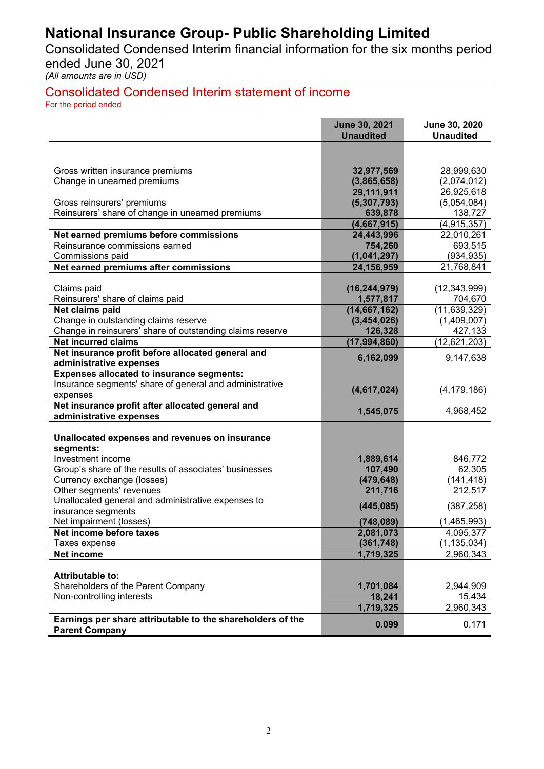Consolidated Condensed Interim financial information for the six months period ended June 30, 2021

*(All amounts are in USD)* 

#### Consolidated Condensed Interim statement of income For the period ended

|                                                                              | <b>June 30, 2021</b><br><b>Unaudited</b> | June 30, 2020<br><b>Unaudited</b> |
|------------------------------------------------------------------------------|------------------------------------------|-----------------------------------|
|                                                                              |                                          |                                   |
|                                                                              |                                          |                                   |
| Gross written insurance premiums                                             | 32,977,569                               | 28,999,630                        |
| Change in unearned premiums                                                  | (3,865,658)                              | (2,074,012)                       |
|                                                                              | 29,111,911                               | 26,925,618                        |
| Gross reinsurers' premiums                                                   | (5,307,793)                              | (5,054,084)                       |
| Reinsurers' share of change in unearned premiums                             | 639,878<br>(4,667,915)                   | 138,727<br>(4,915,357)            |
| Net earned premiums before commissions                                       | 24,443,996                               | 22,010,261                        |
| Reinsurance commissions earned                                               | 754,260                                  | 693,515                           |
| Commissions paid                                                             | (1,041,297)                              | (934, 935)                        |
| Net earned premiums after commissions                                        | 24, 156, 959                             | 21,768,841                        |
|                                                                              |                                          |                                   |
| Claims paid                                                                  | (16, 244, 979)                           | (12, 343, 999)                    |
| Reinsurers' share of claims paid                                             | 1,577,817                                | 704,670                           |
| Net claims paid                                                              | (14, 667, 162)                           | (11, 639, 329)                    |
| Change in outstanding claims reserve                                         | (3,454,026)                              | (1,409,007)                       |
| Change in reinsurers' share of outstanding claims reserve                    | 126,328                                  | 427,133                           |
| <b>Net incurred claims</b>                                                   | (17, 994, 860)                           | (12, 621, 203)                    |
| Net insurance profit before allocated general and<br>administrative expenses | 6,162,099                                | 9,147,638                         |
| <b>Expenses allocated to insurance segments:</b>                             |                                          |                                   |
| Insurance segments' share of general and administrative                      |                                          |                                   |
| expenses                                                                     | (4,617,024)                              | (4, 179, 186)                     |
| Net insurance profit after allocated general and                             |                                          |                                   |
| administrative expenses                                                      | 1,545,075                                | 4,968,452                         |
|                                                                              |                                          |                                   |
| Unallocated expenses and revenues on insurance                               |                                          |                                   |
| segments:<br>Investment income                                               | 1,889,614                                | 846,772                           |
| Group's share of the results of associates' businesses                       | 107,490                                  | 62,305                            |
| Currency exchange (losses)                                                   | (479, 648)                               | (141, 418)                        |
| Other segments' revenues                                                     | 211,716                                  | 212,517                           |
| Unallocated general and administrative expenses to                           |                                          |                                   |
| insurance segments                                                           | (445, 085)                               | (387, 258)                        |
| Net impairment (losses)                                                      | (748, 089)                               | (1,465,993)                       |
| Net income before taxes                                                      | 2,081,073                                | 4,095,377                         |
| Taxes expense                                                                | (361, 748)                               | (1, 135, 034)                     |
| Net income                                                                   | 1,719,325                                | 2,960,343                         |
| Attributable to:                                                             |                                          |                                   |
| Shareholders of the Parent Company                                           | 1,701,084                                | 2,944,909                         |
| Non-controlling interests                                                    | 18,241                                   | 15,434                            |
|                                                                              | 1,719,325                                | 2,960,343                         |
| Earnings per share attributable to the shareholders of the                   |                                          |                                   |
| <b>Parent Company</b>                                                        | 0.099                                    | 0.171                             |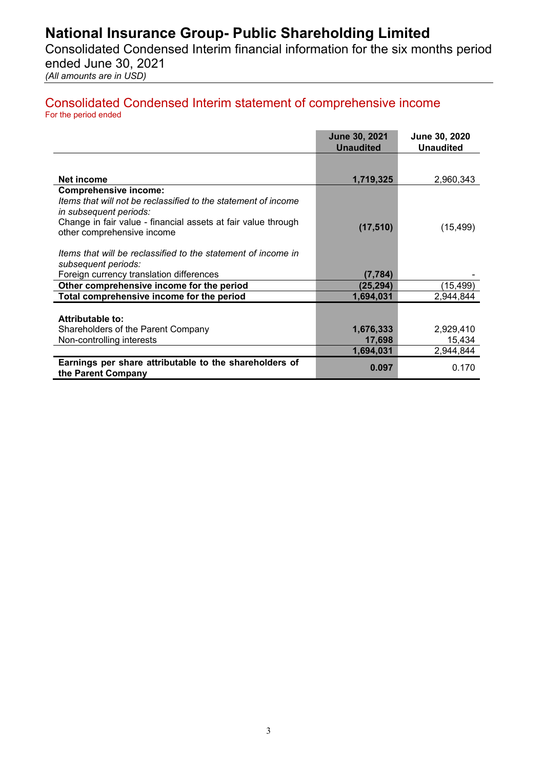Consolidated Condensed Interim financial information for the six months period ended June 30, 2021

*(All amounts are in USD)* 

#### Consolidated Condensed Interim statement of comprehensive income For the period ended

|                                                                                             | June 30, 2021<br><b>Unaudited</b> | June 30, 2020<br><b>Unaudited</b> |
|---------------------------------------------------------------------------------------------|-----------------------------------|-----------------------------------|
|                                                                                             |                                   |                                   |
| Net income                                                                                  | 1,719,325                         | 2,960,343                         |
| <b>Comprehensive income:</b>                                                                |                                   |                                   |
| Items that will not be reclassified to the statement of income<br>in subsequent periods:    |                                   |                                   |
| Change in fair value - financial assets at fair value through<br>other comprehensive income | (17, 510)                         | (15, 499)                         |
| Items that will be reclassified to the statement of income in<br>subsequent periods:        |                                   |                                   |
| Foreign currency translation differences                                                    | (7, 784)                          |                                   |
| Other comprehensive income for the period                                                   | (25, 294)                         | (15, 499)                         |
| Total comprehensive income for the period                                                   | 1,694,031                         | 2,944,844                         |
|                                                                                             |                                   |                                   |
| <b>Attributable to:</b>                                                                     |                                   |                                   |
| Shareholders of the Parent Company                                                          | 1,676,333                         | 2,929,410                         |
| Non-controlling interests                                                                   | 17,698                            | 15,434                            |
|                                                                                             | 1,694,031                         | 2,944,844                         |
| Earnings per share attributable to the shareholders of<br>the Parent Company                | 0.097                             | 0.170                             |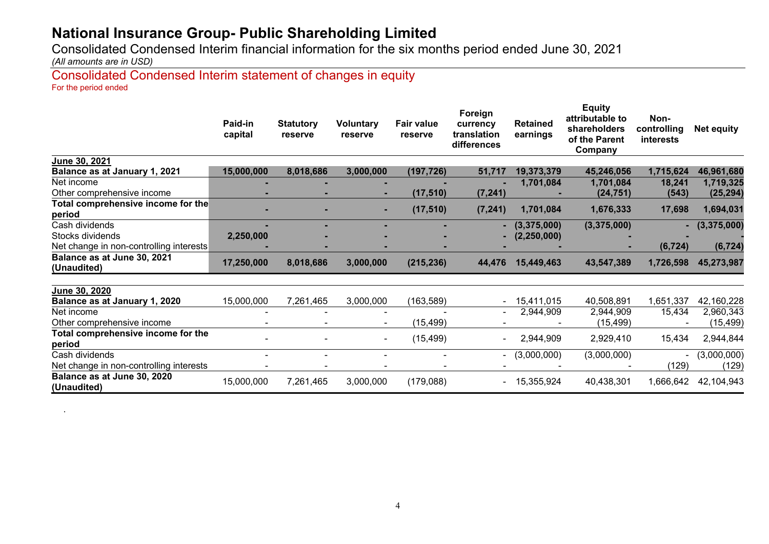Consolidated Condensed Interim financial information for the six months period ended June 30, 2021

*(All amounts are in USD)*

Consolidated Condensed Interim statement of changes in equity For the period ended

|                                              | Paid-in<br>capital | <b>Statutory</b><br>reserve | <b>Voluntary</b><br>reserve | <b>Fair value</b><br>reserve | Foreign<br>currency<br>translation<br>differences | <b>Retained</b><br>earnings | <b>Equity</b><br>attributable to<br>shareholders<br>of the Parent<br>Company | Non-<br>controlling<br><i>interests</i> | <b>Net equity</b> |
|----------------------------------------------|--------------------|-----------------------------|-----------------------------|------------------------------|---------------------------------------------------|-----------------------------|------------------------------------------------------------------------------|-----------------------------------------|-------------------|
| <b>June 30, 2021</b>                         |                    |                             |                             |                              |                                                   |                             |                                                                              |                                         |                   |
| Balance as at January 1, 2021                | 15,000,000         | 8,018,686                   | 3,000,000                   | (197, 726)                   | 51,717                                            | 19,373,379                  | 45,246,056                                                                   | 1,715,624                               | 46,961,680        |
| Net income                                   |                    |                             |                             |                              |                                                   | 1,701,084                   | 1,701,084                                                                    | 18,241                                  | 1,719,325         |
| Other comprehensive income                   |                    |                             |                             | (17, 510)                    | (7, 241)                                          |                             | (24, 751)                                                                    | (543)                                   | (25, 294)         |
| Total comprehensive income for the<br>period |                    |                             |                             | (17, 510)                    | (7, 241)                                          | 1,701,084                   | 1,676,333                                                                    | 17,698                                  | 1,694,031         |
| Cash dividends                               |                    |                             |                             |                              |                                                   | $ (3,375,000)$              | (3,375,000)                                                                  | ۰.                                      | (3,375,000)       |
| Stocks dividends                             | 2,250,000          |                             |                             |                              | ۰.                                                | (2, 250, 000)               |                                                                              |                                         |                   |
| Net change in non-controlling interests      |                    |                             |                             |                              |                                                   |                             |                                                                              | (6, 724)                                | (6, 724)          |
| Balance as at June 30, 2021<br>(Unaudited)   | 17,250,000         | 8,018,686                   | 3,000,000                   | (215, 236)                   | 44,476                                            | 15,449,463                  | 43,547,389                                                                   | 1,726,598                               | 45,273,987        |
| June 30, 2020                                |                    |                             |                             |                              |                                                   |                             |                                                                              |                                         |                   |
| Balance as at January 1, 2020                | 15,000,000         | 7,261,465                   | 3,000,000                   | (163, 589)                   |                                                   | 15,411,015                  | 40,508,891                                                                   | 1,651,337                               | 42,160,228        |
| Net income                                   |                    |                             |                             |                              |                                                   | 2,944,909                   | 2,944,909                                                                    | 15,434                                  | 2,960,343         |
| Other comprehensive income                   |                    |                             | $\blacksquare$              | (15, 499)                    |                                                   |                             | (15, 499)                                                                    |                                         | (15, 499)         |
| Total comprehensive income for the<br>period |                    |                             | $\blacksquare$              | (15, 499)                    |                                                   | 2,944,909                   | 2,929,410                                                                    | 15,434                                  | 2,944,844         |
| Cash dividends                               |                    |                             | $\blacksquare$              |                              | $  ($                                             | (3,000,000)                 | (3,000,000)                                                                  | $\sim$                                  | (3,000,000)       |
| Net change in non-controlling interests      |                    |                             |                             |                              |                                                   |                             |                                                                              | (129)                                   | (129)             |
| Balance as at June 30, 2020<br>(Unaudited)   | 15,000,000         | 7,261,465                   | 3,000,000                   | (179,088)                    | ۰.                                                | 15,355,924                  | 40,438,301                                                                   | 1,666,642                               | 42,104,943        |